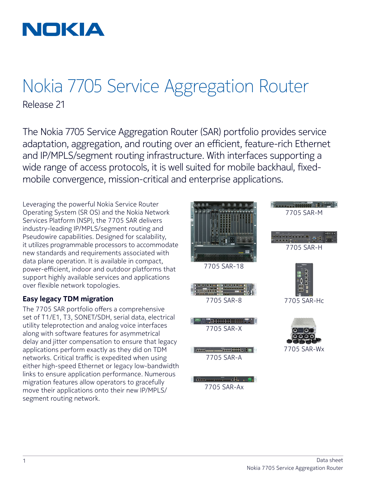

## Nokia 7705 Service Aggregation Router Release 21

The Nokia 7705 Service Aggregation Router (SAR) portfolio provides service adaptation, aggregation, and routing over an efficient, feature-rich Ethernet and IP/MPLS/segment routing infrastructure. With interfaces supporting a wide range of access protocols, it is well suited for mobile backhaul, fixedmobile convergence, mission-critical and enterprise applications.

Leveraging the powerful Nokia Service Router Operating System (SR OS) and the Nokia Network Services Platform (NSP), the 7705 SAR delivers industry-leading IP/MPLS/segment routing and Pseudowire capabilities. Designed for scalability, it utilizes programmable processors to accommodate new standards and requirements associated with data plane operation. It is available in compact, power-efficient, indoor and outdoor platforms that support highly available services and applications over flexible network topologies.

### **Easy legacy TDM migration**

The 7705 SAR portfolio offers a comprehensive set of T1/E1, T3, SONET/SDH, serial data, electrical utility teleprotection and analog voice interfaces along with software features for asymmetrical delay and jitter compensation to ensure that legacy applications perform exactly as they did on TDM networks. Critical traffic is expedited when using either high-speed Ethernet or legacy low-bandwidth links to ensure application performance. Numerous migration features allow operators to gracefully move their applications onto their new IP/MPLS/ segment routing network.



7705 SAR-8

7705 SAR-X

, na <del>secora</del> anana a



<u> and the state of the state of the state of the state of the state of the state of the state of the state of the state of the state of the state of the state of the state of the state of the state of the state of the stat</u>

7705 SAR-H



7705 SAR-Hc



Fürige Entropolitie 7705 SAR-A **COMPOSITION CONTINUES.** 7705 SAR-Ax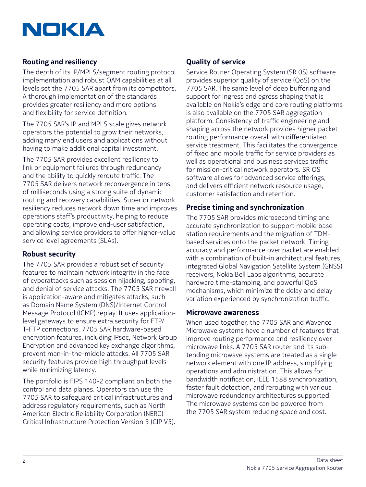

## **Routing and resiliency**

The depth of its IP/MPLS/segment routing protocol implementation and robust OAM capabilities at all levels set the 7705 SAR apart from its competitors. A thorough implementation of the standards provides greater resiliency and more options and flexibility for service definition.

The 7705 SAR's IP and MPLS scale gives network operators the potential to grow their networks, adding many end users and applications without having to make additional capital investment.

The 7705 SAR provides excellent resiliency to link or equipment failures through redundancy and the ability to quickly reroute traffic. The 7705 SAR delivers network reconvergence in tens of milliseconds using a strong suite of dynamic routing and recovery capabilities. Superior network resiliency reduces network down time and improves operations staff's productivity, helping to reduce operating costs, improve end-user satisfaction, and allowing service providers to offer higher-value service level agreements (SLAs).

### **Robust security**

The 7705 SAR provides a robust set of security features to maintain network integrity in the face of cyberattacks such as session hijacking, spoofing, and denial of service attacks. The 7705 SAR firewall is application-aware and mitigates attacks, such as Domain Name System (DNS)/Internet Control Message Protocol (ICMP) replay. It uses applicationlevel gateways to ensure extra security for FTP/ T-FTP connections. 7705 SAR hardware-based encryption features, including IPsec, Network Group Encryption and advanced key exchange algorithms, prevent man-in-the-middle attacks. All 7705 SAR security features provide high throughput levels while minimizing latency.

The portfolio is FIPS 140-2 compliant on both the control and data planes. Operators can use the 7705 SAR to safeguard critical infrastructures and address regulatory requirements, such as North American Electric Reliability Corporation (NERC) Critical Infrastructure Protection Version 5 (CIP V5).

## **Quality of service**

Service Router Operating System (SR 0S) software provides superior quality of service (QoS) on the 7705 SAR. The same level of deep buffering and support for ingress and egress shaping that is available on Nokia's edge and core routing platforms is also available on the 7705 SAR aggregation platform. Consistency of traffic engineering and shaping across the network provides higher packet routing performance overall with differentiated service treatment. This facilitates the convergence of fixed and mobile traffic for service providers as well as operational and business services traffic for mission-critical network operators. SR OS software allows for advanced service offerings, and delivers efficient network resource usage, customer satisfaction and retention.

### **Precise timing and synchronization**

The 7705 SAR provides microsecond timing and accurate synchronization to support mobile base station requirements and the migration of TDMbased services onto the packet network. Timing accuracy and performance over packet are enabled with a combination of built-in architectural features, integrated Global Navigation Satellite System (GNSS) receivers, Nokia Bell Labs algorithms, accurate hardware time-stamping, and powerful QoS mechanisms, which minimize the delay and delay variation experienced by synchronization traffic.

#### **Microwave awareness**

When used together, the 7705 SAR and Wavence Microwave systems have a number of features that improve routing performance and resiliency over microwave links. A 7705 SAR router and its subtending microwave systems are treated as a single network element with one IP address, simplifying operations and administration. This allows for bandwidth notification, IEEE 1588 synchronization, faster fault detection, and rerouting with various microwave redundancy architectures supported. The microwave systems can be powered from the 7705 SAR system reducing space and cost.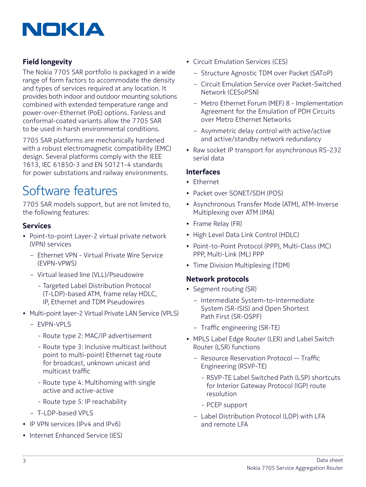

## **Field longevity**

The Nokia 7705 SAR portfolio is packaged in a wide range of form factors to accommodate the density and types of services required at any location. It provides both indoor and outdoor mounting solutions combined with extended temperature range and power-over-Ethernet (PoE) options. Fanless and conformal-coated variants allow the 7705 SAR to be used in harsh environmental conditions.

7705 SAR platforms are mechanically hardened with a robust electromagnetic compatibility (EMC) design. Several platforms comply with the IEEE 1613, IEC 61850-3 and EN 50121-4 standards for power substations and railway environments.

## Software features

7705 SAR models support, but are not limited to, the following features:

### **Services**

- Point-to-point Layer-2 virtual private network (VPN) services
	- Ethernet VPN Virtual Private Wire Service (EVPN-VPWS)
	- Virtual leased line (VLL)/Pseudowire
		- Targeted Label Distribution Protocol (T-LDP)-based ATM, frame relay HDLC, IP, Ethernet and TDM Pseudowires
- Multi-point layer-2 Virtual Private LAN Service (VPLS)
	- EVPN-VPLS
		- Route type 2: MAC/IP advertisement
		- Route type 3: Inclusive multicast (without point to multi-point) Ethernet tag route for broadcast, unknown unicast and multicast traffic
		- Route type 4: Multihoming with single active and active-active
		- Route type 5: IP reachability
	- T-LDP-based VPLS
- IP VPN services (IPv4 and IPv6)
- Internet Enhanced Service (IES)
- Circuit Emulation Services (CES)
	- Structure Agnostic TDM over Packet (SAToP)
	- Circuit Emulation Service over Packet-Switched Network (CESoPSN)
	- Metro Ethernet Forum (MEF) 8 Implementation Agreement for the Emulation of PDH Circuits over Metro Ethernet Networks
	- Asymmetric delay control with active/active and active/standby network redundancy
- Raw socket IP transport for asynchronous RS-232 serial data

#### **Interfaces**

- Ethernet
- Packet over SONET/SDH (POS)
- Asynchronous Transfer Mode (ATM), ATM-Inverse Multiplexing over ATM (IMA)
- Frame Relay (FR)
- High Level Data Link Control (HDLC)
- Point-to-Point Protocol (PPP), Multi-Class (MC) PPP, Multi-Link (ML) PPP
- Time Division Multiplexing (TDM)

## **Network protocols**

- Segment routing (SR)
	- Intermediate System-to-Intermediate System (SR-ISIS) and Open Shortest Path First (SR-OSPF)
	- Traffic engineering (SR-TE)
- MPLS Label Edge Router (LER) and Label Switch Router (LSR) functions
	- Resource Reservation Protocol Traffic Engineering (RSVP-TE)
		- RSVP-TE Label Switched Path (LSP) shortcuts for Interior Gateway Protocol (IGP) route resolution
		- PCEP support
	- Label Distribution Protocol (LDP) with LFA and remote LFA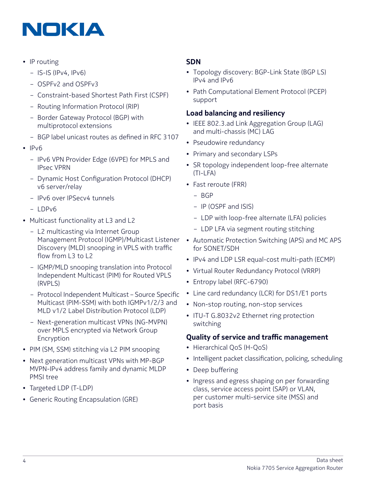

- IP routing
	- IS-IS (IPv4, IPv6)
	- OSPFv2 and OSPFv3
	- Constraint-based Shortest Path First (CSPF)
	- Routing Information Protocol (RIP)
	- Border Gateway Protocol (BGP) with multiprotocol extensions
	- BGP label unicast routes as defined in RFC 3107
- IPv6
	- IPv6 VPN Provider Edge (6VPE) for MPLS and IPsec VPRN
	- Dynamic Host Configuration Protocol (DHCP) v6 server/relay
	- IPv6 over IPSecv4 tunnels
	- $-$  LDPv6
- Multicast functionality at L3 and L2
	- L2 multicasting via Internet Group Management Protocol (IGMP)/Multicast Listener Discovery (MLD) snooping in VPLS with traffic flow from L3 to L2
	- IGMP/MLD snooping translation into Protocol Independent Multicast (PIM) for Routed VPLS (RVPLS)
	- Protocol Independent Multicast Source Specific Multicast (PIM-SSM) with both IGMPv1/2/3 and MLD v1/2 Label Distribution Protocol (LDP)
	- Next-generation multicast VPNs (NG-MVPN) over MPLS encrypted via Network Group Encryption
- PIM (SM, SSM) stitching via L2 PIM snooping
- Next generation multicast VPNs with MP-BGP MVPN-IPv4 address family and dynamic MLDP PMSI tree
- Targeted LDP (T-LDP)
- Generic Routing Encapsulation (GRE)

## **SDN**

- Topology discovery: BGP-Link State (BGP LS) IPv4 and IPv6
- Path Computational Element Protocol (PCEP) support

## **Load balancing and resiliency**

- IEEE 802.3.ad Link Aggregation Group (LAG) and multi-chassis (MC) LAG
- Pseudowire redundancy
- Primary and secondary LSPs
- SR topology independent loop-free alternate (TI-LFA)
- Fast reroute (FRR)
	- BGP
	- IP (OSPF and ISIS)
	- LDP with loop-free alternate (LFA) policies
	- LDP LFA via segment routing stitching
- Automatic Protection Switching (APS) and MC APS for SONET/SDH
- IPv4 and LDP LSR equal-cost multi-path (ECMP)
- Virtual Router Redundancy Protocol (VRRP)
- Entropy label (RFC-6790)
- Line card redundancy (LCR) for DS1/E1 ports
- Non-stop routing, non-stop services
- ITU-T G.8032v2 Ethernet ring protection switching

## **Quality of service and traffic management**

- Hierarchical QoS (H-QoS)
- Intelligent packet classification, policing, scheduling
- Deep buffering
- Ingress and egress shaping on per forwarding class, service access point (SAP) or VLAN, per customer multi-service site (MSS) and port basis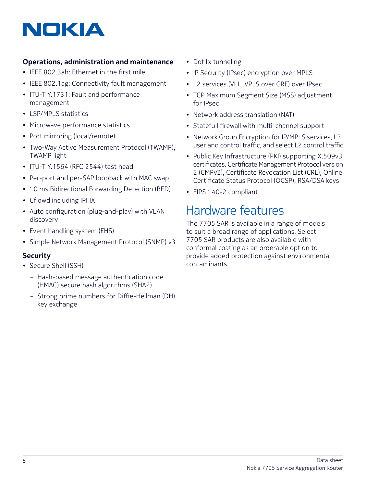## **Operations, administration and maintenance**

- IEEE 802.3ah: Ethernet in the first mile
- IEEE 802.1ag: Connectivity fault management
- ITU-T Y.1731: Fault and performance management
- LSP/MPLS statistics
- Microwave performance statistics
- Port mirroring (local/remote)
- Two-Way Active Measurement Protocol (TWAMP), TWAMP light
- ITU-T Y.1564 (RFC 2544) test head
- Per-port and per-SAP loopback with MAC swap
- 10 ms Bidirectional Forwarding Detection (BFD)
- Cflowd including IPFIX
- Auto configuration (plug-and-play) with VLAN discovery
- Event handling system (EHS)
- Simple Network Management Protocol (SNMP) v3

## **Security**

- Secure Shell (SSH)
	- Hash-based message authentication code (HMAC) secure hash algorithms (SHA2)
	- Strong prime numbers for Diffie-Hellman (DH) key exchange
- Dot1x tunneling
- IP Security (IPsec) encryption over MPLS
- L2 services (VLL, VPLS over GRE) over IPsec
- TCP Maximum Segment Size (MSS) adjustment for IPsec
- Network address translation (NAT)
- Statefull firewall with multi-channel support
- Network Group Encryption for IP/MPLS services, L3 user and control traffic, and select L2 control traffic
- Public Key Infrastructure (PKI) supporting X.509v3 certificates, Certificate Management Protocol version 2 (CMPv2), Certificate Revocation List (CRL), Online Certificate Status Protocol (OCSP), RSA/DSA keys
- FIPS 140-2 compliant

## Hardware features

The 7705 SAR is available in a range of models to suit a broad range of applications. Select 7705 SAR products are also available with conformal coating as an orderable option to provide added protection against environmental contaminants.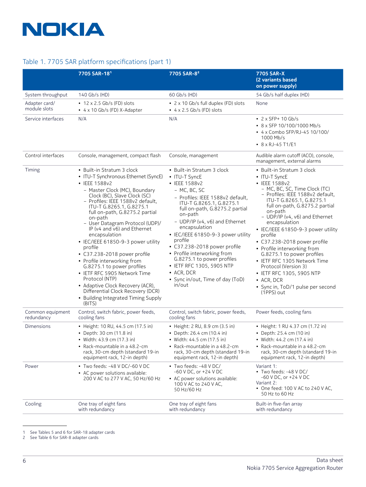

### Table 1. 7705 SAR platform specifications (part 1)

|                                | 7705 SAR-181                                                                                                                                                                                                                                                                                                                                                                                                                                                                                                                                                                                                                                                                   | 7705 SAR-8 <sup>2</sup>                                                                                                                                                                                                                                                                                                                                                                                                                                                                     | 7705 SAR-X<br>(2 variants based<br>on power supply)                                                                                                                                                                                                                                                                                                                                                                                                                                                                                                                                |
|--------------------------------|--------------------------------------------------------------------------------------------------------------------------------------------------------------------------------------------------------------------------------------------------------------------------------------------------------------------------------------------------------------------------------------------------------------------------------------------------------------------------------------------------------------------------------------------------------------------------------------------------------------------------------------------------------------------------------|---------------------------------------------------------------------------------------------------------------------------------------------------------------------------------------------------------------------------------------------------------------------------------------------------------------------------------------------------------------------------------------------------------------------------------------------------------------------------------------------|------------------------------------------------------------------------------------------------------------------------------------------------------------------------------------------------------------------------------------------------------------------------------------------------------------------------------------------------------------------------------------------------------------------------------------------------------------------------------------------------------------------------------------------------------------------------------------|
| System throughput              | 140 Gb/s (HD)                                                                                                                                                                                                                                                                                                                                                                                                                                                                                                                                                                                                                                                                  | 60 Gb/s (HD)                                                                                                                                                                                                                                                                                                                                                                                                                                                                                | 54 Gb/s half duplex (HD)                                                                                                                                                                                                                                                                                                                                                                                                                                                                                                                                                           |
| Adapter card/<br>module slots  | $\bullet$ 12 x 2.5 Gb/s (FD) slots<br>• 4 x 10 Gb/s (FD) X-Adapter                                                                                                                                                                                                                                                                                                                                                                                                                                                                                                                                                                                                             | • 2 x 10 Gb/s full duplex (FD) slots<br>$\bullet$ 4 x 2.5 Gb/s (FD) slots                                                                                                                                                                                                                                                                                                                                                                                                                   | None                                                                                                                                                                                                                                                                                                                                                                                                                                                                                                                                                                               |
| Service interfaces             | N/A                                                                                                                                                                                                                                                                                                                                                                                                                                                                                                                                                                                                                                                                            | N/A                                                                                                                                                                                                                                                                                                                                                                                                                                                                                         | $\cdot$ 2 x SFP+ 10 Gb/s<br>• 8 x SFP 10/100/1000 Mb/s<br>• 4 x Combo SFP/RJ-45 10/100/<br>1000 Mb/s<br>• 8 x RJ-45 T1/E1                                                                                                                                                                                                                                                                                                                                                                                                                                                          |
| Control interfaces             | Console, management, compact flash                                                                                                                                                                                                                                                                                                                                                                                                                                                                                                                                                                                                                                             | Console, management                                                                                                                                                                                                                                                                                                                                                                                                                                                                         | Audible alarm cutoff (ACO), console,<br>management, external alarms                                                                                                                                                                                                                                                                                                                                                                                                                                                                                                                |
| Timing                         | • Built-in Stratum 3 clock<br>• ITU-T Synchronous Ethernet (SyncE)<br>• IEEE 1588v2<br>- Master Clock (MC), Boundary<br>Clock (BC), Slave Clock (SC)<br>- Profiles: IEEE 1588v2 default,<br>ITU-T G.8265.1, G.8275.1<br>full on-path, G.8275.2 partial<br>on-path<br>- User Datagram Protocol (UDP)/<br>IP (v4 and v6) and Ethernet<br>encapsulation<br>• IEC/IEEE 61850-9-3 power utility<br>profile<br>• C37.238-2018 power profile<br>• Profile interworking from<br>G.8275.1 to power profiles<br>• IETF RFC 5905 Network Time<br>Protocol (NTP)<br>• Adaptive Clock Recovery (ACR),<br>Differential Clock Recovery (DCR)<br>• Building Integrated Timing Supply<br>(BITS) | • Built-in Stratum 3 clock<br>• ITU-T SyncE<br>• IEEE 1588v2<br>- MC, BC, SC<br>- Profiles: IEEE 1588v2 default.<br>ITU-T G.8265.1, G.8275.1<br>full on-path, G.8275.2 partial<br>on-path<br>- UDP/IP (v4, v6) and Ethernet<br>encapsulation<br>• IEC/IEEE 61850-9-3 power utility<br>profile<br>• C37.238-2018 power profile<br>• Profile interworking from<br>G.8275.1 to power profiles<br>• IETF RFC 1305, 5905 NTP<br>$\bullet$ ACR, DCR<br>• Sync in/out, Time of day (ToD)<br>in/out | • Built-in Stratum 3 clock<br>• ITU-T SyncE<br>• IEEE 1588v2<br>- MC, BC, SC, Time Clock (TC)<br>- Profiles: IEEE 1588v2 default,<br>ITU-T G.8265.1, G.8275.1<br>full on-path, G.8275.2 partial<br>on-path<br>$-$ UDP/IP ( $v4$ , $v6$ ) and Ethernet<br>encapsulation<br>• IEC/IEEE 61850-9-3 power utility<br>profile<br>• C37.238-2018 power profile<br>• Profile interworking from<br>G.8275.1 to power profiles<br>• IETF RFC 1305 Network Time<br>Protocol (Version 3)<br>• IETF RFC 1305, 5905 NTP<br>$\bullet$ ACR, DCR<br>· Sync in, ToD/1 pulse per second<br>(1PPS) out |
| Common equipment<br>redundancy | Control, switch fabric, power feeds,<br>cooling fans                                                                                                                                                                                                                                                                                                                                                                                                                                                                                                                                                                                                                           | Control, switch fabric, power feeds,<br>cooling fans                                                                                                                                                                                                                                                                                                                                                                                                                                        | Power feeds, cooling fans                                                                                                                                                                                                                                                                                                                                                                                                                                                                                                                                                          |
| Dimensions                     | • Height: 10 RU, 44.5 cm (17.5 in)<br>• Depth: 30 cm (11.8 in)<br>• Width: 43.9 cm (17.3 in)<br>• Rack-mountable in a 48.2-cm<br>rack, 30-cm depth (standard 19-in<br>equipment rack, 12-in depth)                                                                                                                                                                                                                                                                                                                                                                                                                                                                             | • Height: 2 RU, 8.9 cm (3.5 in)<br>• Depth: 26.4 cm (10.4 in)<br>• Width: 44.5 cm (17.5 in)<br>• Rack-mountable in a 48.2-cm<br>rack, 30-cm depth (standard 19-in<br>equipment rack, 12-in depth)                                                                                                                                                                                                                                                                                           | • Height: 1 RU 4.37 cm (1.72 in)<br>• Depth: 25.4 cm (10 in)<br>• Width: 44.2 cm (17.4 in)<br>• Rack-mountable in a 48.2-cm<br>rack, 30-cm depth (standard 19-in<br>equipment rack, 12-in depth)                                                                                                                                                                                                                                                                                                                                                                                   |
| Power                          | • Two feeds: -48 V DC/-60 V DC<br>• AC power solutions available:<br>200 V AC to 277 V AC, 50 Hz/60 Hz                                                                                                                                                                                                                                                                                                                                                                                                                                                                                                                                                                         | • Two feeds: -48 V DC/<br>-60 V DC, or +24 V DC<br>• AC power solutions available:<br>100 V AC to 240 V AC.<br>50 Hz/60 Hz                                                                                                                                                                                                                                                                                                                                                                  | Variant 1:<br>• Two feeds: -48 V DC/<br>-60 V DC, or +24 V DC<br>Variant 2:<br>• One feed: 100 V AC to 240 V AC,<br>50 Hz to 60 Hz                                                                                                                                                                                                                                                                                                                                                                                                                                                 |
| Cooling                        | One tray of eight fans<br>with redundancy                                                                                                                                                                                                                                                                                                                                                                                                                                                                                                                                                                                                                                      | One tray of eight fans<br>with redundancy                                                                                                                                                                                                                                                                                                                                                                                                                                                   | Built-in five-fan array<br>with redundancy                                                                                                                                                                                                                                                                                                                                                                                                                                                                                                                                         |

1 See Tables 5 and 6 for SAR-18 adapter cards

2 See Table 6 for SAR-8 adapter cards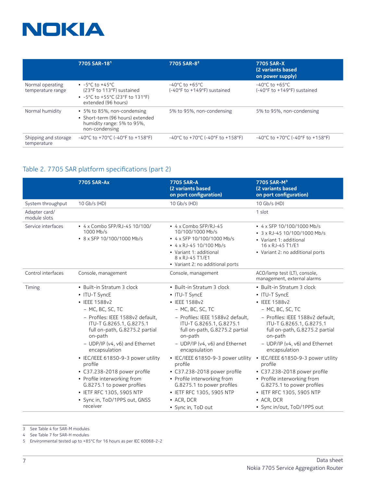

|                                       | 7705 SAR-181                                                                                                                     | 7705 SAR-8 <sup>2</sup>                                                     | 7705 SAR-X<br>(2 variants based<br>on power supply)               |
|---------------------------------------|----------------------------------------------------------------------------------------------------------------------------------|-----------------------------------------------------------------------------|-------------------------------------------------------------------|
| Normal operating<br>temperature range | $\cdot$ -5°C to +45°C<br>(23°F to 113°F) sustained<br>• $-5^{\circ}$ C to $+55^{\circ}$ C (23°F to 131°F)<br>extended (96 hours) | $-40^{\circ}$ C to $+65^{\circ}$ C<br>(-40°F to +149°F) sustained           | $-40^{\circ}$ C to $+65^{\circ}$ C<br>(-40°F to +149°F) sustained |
| Normal humidity                       | • 5% to 85%, non-condensing<br>• Short-term (96 hours) extended<br>humidity range: 5% to 95%,<br>non-condensing                  | 5% to 95%, non-condensing                                                   | 5% to 95%, non-condensing                                         |
| Shipping and storage<br>temperature   | $-40^{\circ}$ C to $+70^{\circ}$ C (-40°F to $+158^{\circ}$ F)                                                                   | $-40^{\circ}$ C to +70 $^{\circ}$ C (-40 $^{\circ}$ F to +158 $^{\circ}$ F) | $-40^{\circ}$ C to $+70^{\circ}$ C (-40°F to $+158^{\circ}$ F)    |

## Table 2. 7705 SAR platform specifications (part 2)4

|                               | <b>7705 SAR-Ax</b>                                                                                                                                                                                                                                                                                                                                                                                                                                                       | 7705 SAR-A<br>(2 variants based<br>on port configuration)                                                                                                                                                                                                                                                                                                                                                                                                       | 7705 SAR-M <sup>3</sup><br>(2 variants based<br>on port configuration)                                                                                                                                                                                                                                                                                                                                                                                                   |
|-------------------------------|--------------------------------------------------------------------------------------------------------------------------------------------------------------------------------------------------------------------------------------------------------------------------------------------------------------------------------------------------------------------------------------------------------------------------------------------------------------------------|-----------------------------------------------------------------------------------------------------------------------------------------------------------------------------------------------------------------------------------------------------------------------------------------------------------------------------------------------------------------------------------------------------------------------------------------------------------------|--------------------------------------------------------------------------------------------------------------------------------------------------------------------------------------------------------------------------------------------------------------------------------------------------------------------------------------------------------------------------------------------------------------------------------------------------------------------------|
| System throughput             | 10 Gb/s (HD)                                                                                                                                                                                                                                                                                                                                                                                                                                                             | 10 Gb/s (HD)                                                                                                                                                                                                                                                                                                                                                                                                                                                    | 10 Gb/s (HD)                                                                                                                                                                                                                                                                                                                                                                                                                                                             |
| Adapter card/<br>module slots |                                                                                                                                                                                                                                                                                                                                                                                                                                                                          |                                                                                                                                                                                                                                                                                                                                                                                                                                                                 | 1 slot                                                                                                                                                                                                                                                                                                                                                                                                                                                                   |
| Service interfaces            | • 4 x Combo SFP/RJ-45 10/100/<br>1000 Mb/s<br>• 8 x SFP 10/100/1000 Mb/s                                                                                                                                                                                                                                                                                                                                                                                                 | • 4 x Combo SFP/RJ-45<br>10/100/1000 Mb/s<br>• 4 x SFP 10/100/1000 Mb/s<br>$\cdot$ 4 x RJ-45 10/100 Mb/s<br>• Variant 1: additional<br>8 x RJ-45 T1/E1<br>• Variant 2: no additional ports                                                                                                                                                                                                                                                                      | • 4 x SFP 10/100/1000 Mb/s<br>• 3 x RJ-45 10/100/1000 Mb/s<br>• Variant 1: additional<br>16 x RJ-45 T1/E1<br>• Variant 2: no additional ports                                                                                                                                                                                                                                                                                                                            |
| Control interfaces            | Console, management                                                                                                                                                                                                                                                                                                                                                                                                                                                      | Console, management                                                                                                                                                                                                                                                                                                                                                                                                                                             | ACO/lamp test (LT), console,<br>management, external alarms                                                                                                                                                                                                                                                                                                                                                                                                              |
| Timing                        | • Built-in Stratum 3 clock<br>• ITU-T SyncE<br>• IEEE 1588v2<br>- MC, BC, SC, TC<br>- Profiles: IEEE 1588v2 default.<br>ITU-T G.8265.1, G.8275.1<br>full on-path, G.8275.2 partial<br>on-path<br>- UDP/IP (v4, v6) and Ethernet<br>encapsulation<br>• IEC/IEEE 61850-9-3 power utility<br>profile<br>• C37.238-2018 power profile<br>• Profile interworking from<br>G.8275.1 to power profiles<br>• IETF RFC 1305, 5905 NTP<br>• Sync in, ToD/1PPS out, GNSS<br>receiver | • Built-in Stratum 3 clock<br>• ITU-T SyncE<br>• IEEE 1588v2<br>- MC, BC, SC, TC<br>- Profiles: IEEE 1588v2 default.<br>ITU-T G.8265.1, G.8275.1<br>full on-path, G.8275.2 partial<br>on-path<br>- UDP/IP (v4, v6) and Ethernet<br>encapsulation<br>• IEC/IEEE 61850-9-3 power utility<br>profile<br>• C37.238-2018 power profile<br>• Profile interworking from<br>G.8275.1 to power profiles<br>• IETF RFC 1305, 5905 NTP<br>• ACR, DCR<br>• Sync in, ToD out | • Built-in Stratum 3 clock<br>• ITU-T SyncE<br>• IEEE 1588v2<br>- MC, BC, SC, TC<br>- Profiles: IEEE 1588v2 default.<br>ITU-T G.8265.1, G.8275.1<br>full on-path, G.8275.2 partial<br>on-path<br>- UDP/IP (v4, v6) and Ethernet<br>encapsulation<br>• IEC/IEEE 61850-9-3 power utility<br>profile<br>• C37.238-2018 power profile<br>• Profile interworking from<br>G.8275.1 to power profiles<br>• IETF RFC 1305, 5905 NTP<br>• ACR, DCR<br>• Sync in/out, ToD/1PPS out |

<sup>3</sup> See Table 4 for SAR-M modules

<sup>4</sup> See Table 7 for SAR-H modules

<sup>5</sup> Environmental tested up to +85°C for 16 hours as per IEC 60068-2-2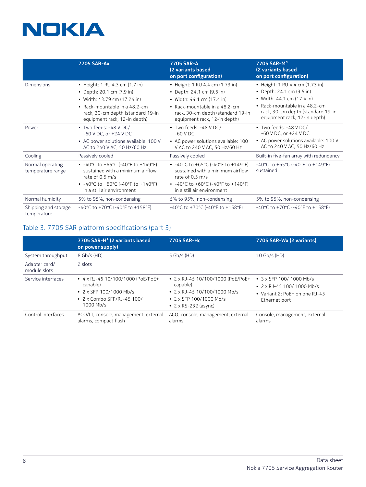|                                       | <b>7705 SAR-Ax</b>                                                                                                                                                                                                                              | 7705 SAR-A<br>(2 variants based<br>on port configuration)                                                                                                                                                                            | 7705 SAR-M <sup>3</sup><br>(2 variants based<br>on port configuration)                                                                                                                           |
|---------------------------------------|-------------------------------------------------------------------------------------------------------------------------------------------------------------------------------------------------------------------------------------------------|--------------------------------------------------------------------------------------------------------------------------------------------------------------------------------------------------------------------------------------|--------------------------------------------------------------------------------------------------------------------------------------------------------------------------------------------------|
| <b>Dimensions</b>                     | • Height: 1 RU 4.3 cm (1.7 in)<br>• Depth: 20.1 cm (7.9 in)<br>• Width: 43.79 cm (17.24 in)<br>• Rack-mountable in a 48.2-cm<br>rack, 30-cm depth (standard 19-in<br>equipment rack, 12-in depth)                                               | • Height: 1 RU 4.4 cm (1.73 in)<br>• Depth: 24.1 cm (9.5 in)<br>• Width: 44.1 cm (17.4 in)<br>• Rack-mountable in a $48.2$ -cm<br>rack, 30-cm depth (standard 19-in<br>equipment rack, 12-in depth)                                  | • Height: 1 RU 4.4 cm (1.73 in)<br>• Depth: 24.1 cm (9.5 in)<br>• Width: 44.1 cm (17.4 in)<br>• Rack-mountable in a 48.2-cm<br>rack, 30-cm depth (standard 19-in<br>equipment rack, 12-in depth) |
| Power                                 | • Two feeds: -48 V DC/<br>$-60$ V DC, or $+24$ V DC<br>• AC power solutions available: 100 V<br>AC to 240 V AC, 50 Hz/60 Hz                                                                                                                     | • Two feeds: -48 V DC/<br>$-60$ V DC<br>• AC power solutions available: 100<br>V AC to 240 V AC, 50 Hz/60 Hz                                                                                                                         | $\bullet$ Two feeds: -48 V DC/<br>-60 V DC, or +24 V DC<br>• AC power solutions available: 100 V<br>AC to 240 V AC, 50 Hz/60 Hz                                                                  |
| Cooling                               | Passively cooled                                                                                                                                                                                                                                | Passively cooled                                                                                                                                                                                                                     | Built-in five-fan array with redundancy                                                                                                                                                          |
| Normal operating<br>temperature range | • $-40^{\circ}$ C to $+65^{\circ}$ C ( $-40^{\circ}$ F to $+149^{\circ}$ F)<br>sustained with a minimum airflow<br>rate of 0.5 m/s<br>• $-40^{\circ}$ C to $+60^{\circ}$ C ( $-40^{\circ}$ F to $+140^{\circ}$ F)<br>in a still air environment | • $-40^{\circ}$ C to $+65^{\circ}$ C ( $-40^{\circ}$ F to $+149^{\circ}$ F)<br>sustained with a minimum airflow<br>rate of 0.5 m/s<br>• $-40^{\circ}$ C to $+60^{\circ}$ C (-40°F to $+140^{\circ}$ F)<br>in a still air environment | -40°C to +65°C (-40°F to +149°F)<br>sustained                                                                                                                                                    |
| Normal humidity                       | 5% to 95%, non-condensing                                                                                                                                                                                                                       | 5% to 95%, non-condensing                                                                                                                                                                                                            | 5% to 95%, non-condensing                                                                                                                                                                        |
| Shipping and storage<br>temperature   | $-40^{\circ}$ C to $+70^{\circ}$ C (-40°F to $+158^{\circ}$ F)                                                                                                                                                                                  | $-40^{\circ}$ C to $+70^{\circ}$ C (-40°F to $+158^{\circ}$ F)                                                                                                                                                                       | $-40^{\circ}$ C to $+70^{\circ}$ C (-40°F to $+158^{\circ}$ F)                                                                                                                                   |

## Table 3. 7705 SAR platform specifications (part 3)

|                               | 7705 SAR-H <sup>4</sup> (2 variants based<br>on power supply)                                                                       | 7705 SAR-Hc                                                                                                                                           | 7705 SAR-Wx (2 variants)                                                                                            |
|-------------------------------|-------------------------------------------------------------------------------------------------------------------------------------|-------------------------------------------------------------------------------------------------------------------------------------------------------|---------------------------------------------------------------------------------------------------------------------|
| System throughput             | 8 Gb/s (HD)                                                                                                                         | $5$ Gb/s (HD)                                                                                                                                         | $10$ Gb/s (HD)                                                                                                      |
| Adapter card/<br>module slots | 2 slots                                                                                                                             |                                                                                                                                                       |                                                                                                                     |
| Service interfaces            | • $4 \times R$ J-45 10/100/1000 (PoE/PoE+<br>capable)<br>• 2 x SFP 100/1000 Mb/s<br>$\cdot$ 2 x Combo SFP/RJ-45 100/<br>$1000$ Mb/s | • $2 \times R$ J-45 10/100/1000 (PoE/PoE+<br>capable)<br>• 2 x RJ-45 10/100/1000 Mb/s<br>$\cdot$ 2 x SFP 100/1000 Mb/s<br>• $2 \times RS-232$ (async) | $\cdot$ 3 x SFP 100/1000 Mb/s<br>$\cdot$ 2 x RJ-45 100/1000 Mb/s<br>• Variant 2: PoE+ on one RJ-45<br>Ethernet port |
| Control interfaces            | ACO/LT, console, management, external<br>alarms, compact flash                                                                      | ACO, console, management, external<br>alarms                                                                                                          | Console, management, external<br>alarms                                                                             |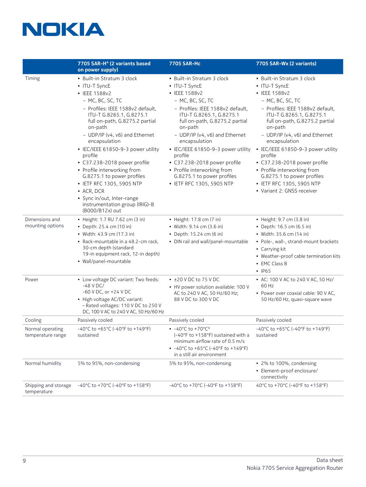

|                                       | 7705 SAR-H <sup>4</sup> (2 variants based                                                                                                                                                                                                                                                                                                                                                                                                                                                                                    | 7705 SAR-Hc                                                                                                                                                                                                                                                                                                                                                                                                                 | 7705 SAR-Wx (2 variants)                                                                                                                                                                                                                                                                                                                                                                                                                                  |
|---------------------------------------|------------------------------------------------------------------------------------------------------------------------------------------------------------------------------------------------------------------------------------------------------------------------------------------------------------------------------------------------------------------------------------------------------------------------------------------------------------------------------------------------------------------------------|-----------------------------------------------------------------------------------------------------------------------------------------------------------------------------------------------------------------------------------------------------------------------------------------------------------------------------------------------------------------------------------------------------------------------------|-----------------------------------------------------------------------------------------------------------------------------------------------------------------------------------------------------------------------------------------------------------------------------------------------------------------------------------------------------------------------------------------------------------------------------------------------------------|
|                                       | on power supply)                                                                                                                                                                                                                                                                                                                                                                                                                                                                                                             |                                                                                                                                                                                                                                                                                                                                                                                                                             |                                                                                                                                                                                                                                                                                                                                                                                                                                                           |
| Timing                                | • Built-in Stratum 3 clock<br>• ITU-T SyncE<br>• IEEE 1588v2<br>- MC, BC, SC, TC<br>- Profiles: IEEE 1588v2 default,<br>ITU-T G.8265.1, G.8275.1<br>full on-path, G.8275.2 partial<br>on-path<br>- UDP/IP (v4, v6) and Ethernet<br>encapsulation<br>· IEC/IEEE 61850-9-3 power utility<br>profile<br>• C37.238-2018 power profile<br>• Profile interworking from<br>G.8275.1 to power profiles<br>• IETF RFC 1305, 5905 NTP<br>• ACR, DCR<br>• Sync in/out, Inter-range<br>instrumentation group (IRIG)-B<br>(B000/B12x) out | • Built-in Stratum 3 clock<br>• ITU-T SyncE<br>• IEEE 1588v2<br>- MC, BC, SC, TC<br>- Profiles: IEEE 1588v2 default,<br>ITU-T G.8265.1, G.8275.1<br>full on-path, G.8275.2 partial<br>on-path<br>- UDP/IP (v4, v6) and Ethernet<br>encapsulation<br>• IEC/IEEE 61850-9-3 power utility<br>profile<br>• C37.238-2018 power profile<br>• Profile interworking from<br>G.8275.1 to power profiles<br>• IETF RFC 1305, 5905 NTP | • Built-in Stratum 3 clock<br>• ITU-T SyncE<br>• IEEE 1588v2<br>- MC, BC, SC, TC<br>- Profiles: IEEE 1588v2 default,<br>ITU-T G.8265.1, G.8275.1<br>full on-path, G.8275.2 partial<br>on-path<br>- UDP/IP (v4, v6) and Ethernet<br>encapsulation<br>• IEC/IEEE 61850-9-3 power utility<br>profile<br>• C37.238-2018 power profile<br>• Profile interworking from<br>G.8275.1 to power profiles<br>• IETF RFC 1305, 5905 NTP<br>• Variant 2: GNSS receiver |
| Dimensions and<br>mounting options    | • Height: 1.7 RU 7.62 cm (3 in)<br>• Depth: 25.4 cm (10 in)<br>• Width: 43.9 cm (17.3 in)<br>• Rack-mountable in a 48.2-cm rack,<br>30-cm depth (standard<br>19-in equipment rack, 12-in depth)<br>• Wall/panel-mountable                                                                                                                                                                                                                                                                                                    | • Height: 17.8 cm (7 in)<br>• Width: 9.14 cm (3.6 in)<br>• Depth: 15.24 cm (6 in)<br>• DIN rail and wall/panel-mountable                                                                                                                                                                                                                                                                                                    | • Height: 9.7 cm (3.8 in)<br>• Depth: 16.5 cm (6.5 in)<br>• Width: 35.6 cm (14 in)<br>• Pole-, wall-, strand-mount brackets<br>• Carrying kit<br>• Weather-proof cable termination kits<br>• EMC Class B<br>$\cdot$ IP65                                                                                                                                                                                                                                  |
| Power                                 | • Low voltage DC variant: Two feeds:<br>$-48$ V DC/<br>-60 V DC, or +24 V DC<br>• High voltage AC/DC variant:<br>- Rated voltages: 110 V DC to 250 V<br>DC, 100 V AC to 240 V AC, 50 Hz/60 Hz                                                                                                                                                                                                                                                                                                                                | $\cdot$ ±20 V DC to 75 V DC<br>• HV power solution available: 100 V<br>AC to 240 V AC, 50 Hz/60 Hz;<br>88 V DC to 300 V DC                                                                                                                                                                                                                                                                                                  | • AC: 100 V AC to 240 V AC, 50 Hz/<br>60 Hz<br>• Power over coaxial cable: 90 V AC,<br>50 Hz/60 Hz, quasi-square wave                                                                                                                                                                                                                                                                                                                                     |
| Cooling                               | Passively cooled                                                                                                                                                                                                                                                                                                                                                                                                                                                                                                             | Passively cooled                                                                                                                                                                                                                                                                                                                                                                                                            | Passively cooled                                                                                                                                                                                                                                                                                                                                                                                                                                          |
| Normal operating<br>temperature range | -40°C to +65°C (-40°F to +149°F)<br>sustained                                                                                                                                                                                                                                                                                                                                                                                                                                                                                | • $-40^{\circ}$ C to $+70^{\circ}$ C <sup>5</sup><br>(-40°F to +158°F) sustained with a<br>minimum airflow rate of 0.5 m/s<br>• $-40^{\circ}$ C to $+65^{\circ}$ C (-40°F to $+149^{\circ}$ F)<br>in a still air environment                                                                                                                                                                                                | -40°C to +65°C (-40°F to +149°F)<br>sustained                                                                                                                                                                                                                                                                                                                                                                                                             |
| Normal humidity                       | 5% to 95%, non-condensing                                                                                                                                                                                                                                                                                                                                                                                                                                                                                                    | 5% to 95%, non-condensing                                                                                                                                                                                                                                                                                                                                                                                                   | • 2% to 100%, condensing<br>• Element-proof enclosure/<br>connectivity                                                                                                                                                                                                                                                                                                                                                                                    |
| Shipping and storage<br>temperature   | -40°C to +70°C (-40°F to +158°F)                                                                                                                                                                                                                                                                                                                                                                                                                                                                                             | -40°C to +70°C (-40°F to +158°F)                                                                                                                                                                                                                                                                                                                                                                                            | 40°C to +70°C (-40°F to +158°F)                                                                                                                                                                                                                                                                                                                                                                                                                           |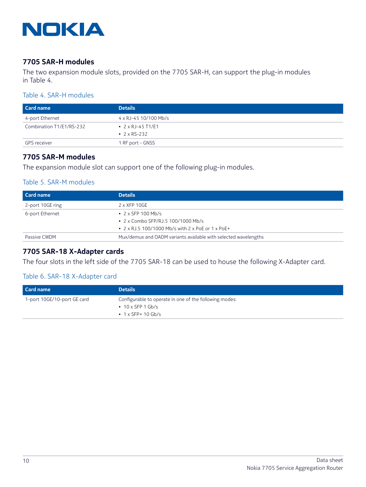

#### **7705 SAR-H modules**

The two expansion module slots, provided on the 7705 SAR-H, can support the plug-in modules in Table 4.

#### Table 4. SAR-H modules

| <b>Card name</b>         | <b>Details</b>            |
|--------------------------|---------------------------|
| 4-port Ethernet          | 4 x RJ-45 10/100 Mb/s     |
| Combination T1/E1/RS-232 | • $2 \times R$ J-45 T1/E1 |
|                          | • $2 \times RS - 232$     |
| <b>GPS</b> receiver      | 1 RF port - GNSS          |

#### **7705 SAR-M modules**

The expansion module slot can support one of the following plug-in modules.

#### Table 5. SAR-M modules

| Card name        | <b>Details</b>                                                  |
|------------------|-----------------------------------------------------------------|
| 2-port 10GE ring | $2 \times XFP 10GE$                                             |
| 6-port Ethernet  | $\cdot$ 2 x SFP 100 Mb/s                                        |
|                  | • 2 x Combo SFP/RJ.5 100/1000 Mb/s                              |
|                  | • $2 \times RJ.5$ 100/1000 Mb/s with $2 \times PoE$ or 1 x PoE+ |
| Passive CWDM     | Mux/demux and OADM variants available with selected wavelengths |

## **7705 SAR-18 X-Adapter cards**

The four slots in the left side of the 7705 SAR-18 can be used to house the following X-Adapter card.

#### Table 6. SAR-18 X-Adapter card

| Card name                   | <b>Details</b>                                         |
|-----------------------------|--------------------------------------------------------|
| 1-port 10GE/10-port GE card | Configurable to operate in one of the following modes: |
|                             | $\cdot$ 10 x SFP 1 Gb/s                                |
|                             | • $1 \times$ SFP+ 10 Gb/s                              |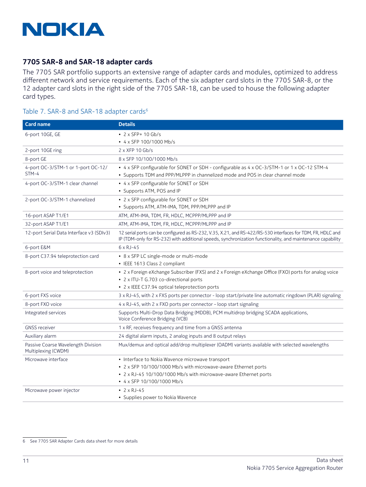

#### 7705 SAR-8 and SAR-18 adapter cards

The 7705 SAR portfolio supports an extensive range of adapter cards and modules, optimized to address different network and service requirements. Each of the six adapter card slots in the 7705 SAR-8, or the 12 adapter card slots in the right side of the 7705 SAR-18, can be used to house the following adapter card types.

#### Table 7. SAR-8 and SAR-18 adapter cards<sup>6</sup>

| <b>Card name</b>                                          | <b>Details</b>                                                                                                                                                                                                            |
|-----------------------------------------------------------|---------------------------------------------------------------------------------------------------------------------------------------------------------------------------------------------------------------------------|
| 6-port 10GE, GE                                           | • $2 \times$ SFP+ 10 Gb/s                                                                                                                                                                                                 |
|                                                           | • 4 x SFP 100/1000 Mb/s                                                                                                                                                                                                   |
| 2-port 10GE ring                                          | $2 \times XFP$ 10 Gb/s                                                                                                                                                                                                    |
| 8-port GE                                                 | 8 x SFP 10/100/1000 Mb/s                                                                                                                                                                                                  |
| 4-port OC-3/STM-1 or 1-port OC-12/<br>$STM-4$             | • 4 x SFP configurable for SONET or SDH - configurable as 4 x OC-3/STM-1 or 1 x OC-12 STM-4<br>• Supports TDM and PPP/MLPPP in channelized mode and POS in clear channel mode                                             |
| 4-port OC-3/STM-1 clear channel                           | • 4 x SFP configurable for SONET or SDH<br>• Supports ATM, POS and IP                                                                                                                                                     |
| 2-port OC-3/STM-1 channelized                             | • 2 x SFP configurable for SONET or SDH<br>• Supports ATM, ATM-IMA, TDM, PPP/MLPPP and IP                                                                                                                                 |
| 16-port ASAP T1/E1                                        | ATM, ATM-IMA, TDM, FR, HDLC, MCPPP/MLPPP and IP                                                                                                                                                                           |
| 32-port ASAP T1/E1                                        | ATM, ATM-IMA, TDM, FR, HDLC, MCPPP/MLPPP and IP                                                                                                                                                                           |
| 12-port Serial Data Interface v3 (SDIv3)                  | 12 serial ports can be configured as RS-232, V.35, X.21, and RS-422/RS-530 interfaces for TDM, FR, HDLC and<br>IP (TDM-only for RS-232) with additional speeds, synchronization functionality, and maintenance capability |
| 6-port E&M                                                | $6 \times R$ J-45                                                                                                                                                                                                         |
| 8-port C37.94 teleprotection card                         | • 8 x SFP LC single-mode or multi-mode<br>• IEEE 1613 Class 2 compliant                                                                                                                                                   |
| 8-port voice and teleprotection                           | • 2 x Foreign eXchange Subscriber (FXS) and 2 x Foreign eXchange Office (FXO) ports for analog voice<br>• 2 x ITU-T G.703 co-directional ports<br>• 2 x IEEE C37.94 optical teleprotection ports                          |
| 6-port FXS voice                                          | 3 x RJ-45, with 2 x FXS ports per connector - loop start/private line automatic ringdown (PLAR) signaling                                                                                                                 |
| 8-port FXO voice                                          | 4 x RJ-45, with 2 x FXO ports per connector - loop start signaling                                                                                                                                                        |
| Integrated services                                       | Supports Multi-Drop Data Bridging (MDDB), PCM multidrop bridging SCADA applications,<br>Voice Conference Bridging (VCB)                                                                                                   |
| <b>GNSS receiver</b>                                      | 1 x RF, receives frequency and time from a GNSS antenna                                                                                                                                                                   |
| Auxiliary alarm                                           | 24 digital alarm inputs, 2 analog inputs and 8 output relays                                                                                                                                                              |
| Passive Coarse Wavelength Division<br>Multiplexing (CWDM) | Mux/demux and optical add/drop multiplexer (OADM) variants available with selected wavelengths                                                                                                                            |
| Microwave interface                                       | • Interface to Nokia Wavence microwave transport                                                                                                                                                                          |
|                                                           | • 2 x SFP 10/100/1000 Mb/s with microwave-aware Ethernet ports                                                                                                                                                            |
|                                                           | • 2 x RJ-45 10/100/1000 Mb/s with microwave-aware Ethernet ports                                                                                                                                                          |
|                                                           | • 4 x SFP 10/100/1000 Mb/s                                                                                                                                                                                                |
| Microwave power injector                                  | • $2 \times R$ J-45                                                                                                                                                                                                       |
|                                                           | • Supplies power to Nokia Wavence                                                                                                                                                                                         |

<sup>6</sup> See 7705 SAR Adapter Cards data sheet for more details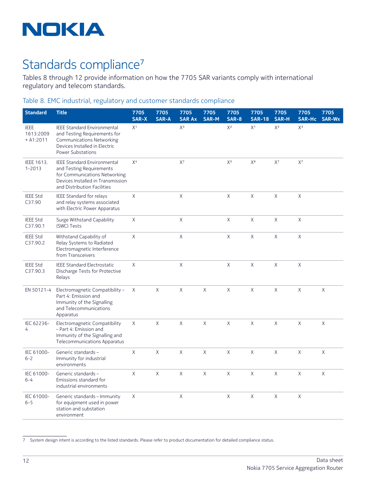

## Standards compliance<sup>7</sup>

Tables 8 through 12 provide information on how the 7705 SAR variants comply with international regulatory and telecom standards.

#### Table 8. EMC industrial, regulatory and customer standards compliance

| <b>Standard</b>                         | <b>Title</b>                                                                                                                                                        | 7705<br><b>SAR-X</b> | 7705<br><b>SAR-A</b> | 7705<br><b>SAR Ax</b> | 7705<br><b>SAR-M</b> | 7705<br><b>SAR-8</b> | 7705<br><b>SAR-18</b> | 7705<br><b>SAR-H</b> | 7705<br><b>SAR-Hc</b> | 7705<br><b>SAR-Wx</b> |
|-----------------------------------------|---------------------------------------------------------------------------------------------------------------------------------------------------------------------|----------------------|----------------------|-----------------------|----------------------|----------------------|-----------------------|----------------------|-----------------------|-----------------------|
| <b>IEEE</b><br>1613:2009<br>$+ A1:2011$ | <b>IEEE Standard Environmental</b><br>and Testing Requirements for<br><b>Communications Networking</b><br>Devices Installed in Electric<br><b>Power Substations</b> | X <sup>1</sup>       |                      | $X^3$                 |                      | $X^2$                | X <sup>1</sup>        | $X^3$                | $X^3$                 |                       |
| IEEE 1613.<br>$1 - 2013$                | <b>IEEE Standard Environmental</b><br>and Testing Requirements<br>for Communications Networking<br>Devices Installed in Transmission<br>and Distribution Facilities | X <sup>4</sup>       |                      | $\mathsf{X}^7$        |                      | $X^5$                | $X^6$                 | $X^7$                | $X^7$                 |                       |
| <b>IEEE Std</b><br>C37.90               | <b>IEEE Standard for relays</b><br>and relay systems associated<br>with Electric Power Apparatus                                                                    | X                    |                      | X                     |                      | $\mathsf{X}$         | $\chi$                | X                    | X                     |                       |
| <b>IEEE Std</b><br>C37.90.1             | Surge Withstand Capability<br>(SWC) Tests                                                                                                                           | X                    |                      | $\mathsf{X}$          |                      | X                    | X                     | $\mathsf X$          | X                     |                       |
| <b>IEEE Std</b><br>C37.90.2             | Withstand Capability of<br>Relay Systems to Radiated<br>Electromagnetic Interference<br>from Transceivers                                                           | X                    |                      | X                     |                      | X                    | X                     | X                    | X                     |                       |
| <b>IEEE Std</b><br>C37.90.3             | <b>IEEE Standard Electrostatic</b><br>Discharge Tests for Protective<br>Relays                                                                                      | X                    |                      | $\mathsf X$           |                      | X                    | X                     | X                    | X                     |                       |
| EN 50121-4                              | Electromagnetic Compatibility -<br>Part 4: Emission and<br>Immunity of the Signalling<br>and Telecommunications<br>Apparatus                                        | X                    | $\mathsf X$          | $\mathsf X$           | $\mathsf{X}$         | $\mathsf{X}$         | $\mathsf X$           | $\mathsf{X}% _{0}$   | X                     | X                     |
| IEC 62236-<br>4                         | Electromagnetic Compatibility<br>- Part 4: Emission and<br>Immunity of the Signalling and<br>Telecommunications Apparatus                                           | $\chi$               | X                    | $\mathsf X$           | X                    | X                    | X                     | X                    | X                     | X                     |
| IEC 61000-<br>$6 - 2$                   | Generic standards -<br>Immunity for industrial<br>environments                                                                                                      | $\times$             | $\times$             | $\mathsf X$           | X                    | X                    | X                     | $\mathsf X$          | X                     | $\chi$                |
| IEC 61000-<br>$6 - 4$                   | Generic standards -<br>Emissions standard for<br>industrial environments                                                                                            | X                    | $\mathsf{X}$         | $\mathsf{X}$          | X                    | X                    | X                     | $\mathsf X$          | X                     | X                     |
| IEC 61000-<br>$6 - 5$                   | Generic standards - Immunity<br>for equipment used in power<br>station and substation<br>environment                                                                | X                    |                      | X                     |                      | X                    | X                     | X                    | X                     |                       |

<sup>7</sup> System design intent is according to the listed standards. Please refer to product documentation for detailed compliance status.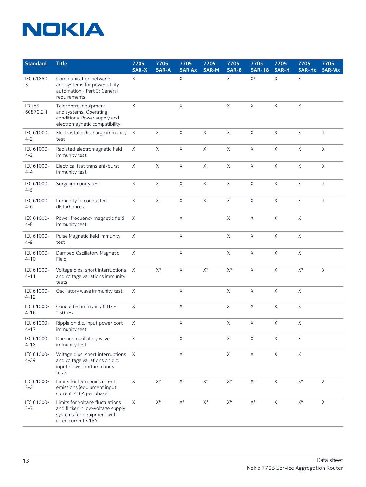| <b>Standard</b>        | <b>Title</b>                                                                                                             | 7705<br>SAR-X | 7705<br><b>SAR-A</b> | 7705<br><b>SAR Ax</b>   | 7705<br><b>SAR-M</b>      | 7705<br><b>SAR-8</b>      | 7705<br><b>SAR-18</b> | 7705<br><b>SAR-H</b> | 7705<br><b>SAR-Hc</b>     | 7705<br>SAR-Wx |
|------------------------|--------------------------------------------------------------------------------------------------------------------------|---------------|----------------------|-------------------------|---------------------------|---------------------------|-----------------------|----------------------|---------------------------|----------------|
| IEC 61850-<br>3        | Communication networks<br>and systems for power utility<br>automation - Part 3: General<br>requirements                  | X             |                      | X                       |                           | X                         | $X^8$                 | $\mathsf{X}$         | $\mathsf{X}$              |                |
| IEC/AS<br>60870.2.1    | Telecontrol equipment<br>and systems. Operating<br>conditions. Power supply and<br>electromagnetic compatibility         | $\mathsf X$   |                      | X                       |                           | $\mathsf X$               | $\mathsf X$           | $\mathsf X$          | X                         |                |
| IEC 61000-<br>$4 - 2$  | Electrostatic discharge immunity<br>test                                                                                 | $\mathsf{X}$  | X                    | X                       | X                         | $\mathsf X$               | $\mathsf X$           | $\mathsf X$          | X                         | X              |
| IEC 61000-<br>$4 - 3$  | Radiated electromagnetic field<br>immunity test                                                                          | $\mathsf{X}$  | X                    | $\mathsf X$             | X                         | X                         | $\mathsf X$           | $\mathsf X$          | X                         | $\sf X$        |
| IEC 61000-<br>$4 - 4$  | Electrical fast transient/burst<br>immunity test                                                                         | X             | $\mathsf X$          | X                       | X                         | X                         | $\mathsf{X}$          | X                    | X                         | $\sf X$        |
| IEC 61000-<br>$4 - 5$  | Surge immunity test                                                                                                      | $\mathsf X$   | $\mathsf X$          | $\mathsf X$             | $\mathsf X$               | $\mathsf X$               | $\mathsf{X}$          | $\mathsf X$          | $\mathsf X$               | $\mathsf X$    |
| IEC 61000-<br>$4 - 6$  | Immunity to conducted<br>disturbances                                                                                    | $\mathsf X$   | $\mathsf X$          | X                       | X                         | X                         | $\mathsf X$           | $\mathsf X$          | X                         | X              |
| IEC 61000-<br>$4 - 8$  | Power frequency magnetic field<br>immunity test                                                                          | X             |                      | $\mathsf X$             |                           | X                         | $\mathsf X$           | X                    | $\mathsf X$               |                |
| IEC 61000-<br>$4 - 9$  | Pulse Magnetic field immunity<br>test                                                                                    | X             |                      | X                       |                           | X                         | X                     | X                    | X                         |                |
| IEC 61000-<br>$4 - 10$ | Damped Oscillatory Magnetic<br>Field                                                                                     | $\mathsf X$   |                      | X                       |                           | X                         | $\mathsf{X}$          | $\mathsf{X}$         | $\mathsf X$               |                |
| IEC 61000-<br>$4 - 11$ | Voltage dips, short interruptions<br>and voltage variations immunity<br>tests                                            | $\sf X$       | $X^9$                | $X^9$                   | $X^9$                     | $\mathsf{X}^{\mathsf{g}}$ | $X^9$                 | X                    | $\mathsf{X}^\mathsf{g}$   | X              |
| IEC 61000-<br>$4 - 12$ | Oscillatory wave immunity test                                                                                           | $\times$      |                      | $\mathsf{X}$            |                           | X                         | $\sf X$               | $\mathsf X$          | X                         |                |
| IEC 61000-<br>$4 - 16$ | Conducted immunity 0 Hz -<br>150 kHz                                                                                     | $\times$      |                      | $\sf X$                 |                           | X                         | $\sf X$               | X                    | $\mathsf X$               |                |
| IEC 61000-<br>$4 - 17$ | Ripple on d.c. input power port<br>immunity test                                                                         | $\times$      |                      | $\sf X$                 |                           | X                         | X                     | $\mathsf X$          | X                         |                |
| IEC 61000-<br>$4 - 18$ | Damped oscillatory wave<br>immunity test                                                                                 | $\mathsf X$   |                      | Χ                       |                           | $\mathsf X$               | $\mathsf X$           | X                    | Χ                         |                |
| IEC 61000-<br>$4 - 29$ | Voltage dips, short interruptions<br>and voltage variations on d.c.<br>input power port immunity<br>tests                | X             |                      | $\mathsf X$             |                           | X                         | $\mathsf X$           | X                    | X                         |                |
| IEC 61000-<br>$3 - 2$  | Limits for harmonic current<br>emissions (equipment input<br>current <16A per phase)                                     | X             | $X^9$                | $\mathsf{X}^\mathsf{g}$ | $X^9$                     | $\mathsf{X}^\mathsf{g}$   | $X^9$                 | $\mathsf X$          | $\mathsf{X}^\mathsf{g}$   | $\mathsf X$    |
| IEC 61000-<br>$3 - 3$  | Limits for voltage fluctuations<br>and flicker in low-voltage supply<br>systems for equipment with<br>rated current <16A | X             | $X^9$                | $X^9$                   | $\mathsf{X}^{\mathsf{g}}$ | $\mathsf{X}^{\mathsf{g}}$ | $X^9$                 | X                    | $\mathsf{X}^{\mathsf{g}}$ | X              |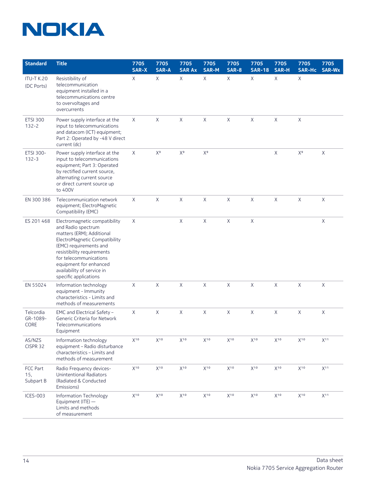

| <b>Standard</b>                 | <b>Title</b>                                                                                                                                                                                                                                                                         | 7705<br><b>SAR-X</b> | 7705<br><b>SAR-A</b> | 7705<br><b>SAR Ax</b>     | 7705<br><b>SAR-M</b>      | 7705<br><b>SAR-8</b> | 7705<br><b>SAR-18</b> | 7705<br><b>SAR-H</b> | 7705<br>SAR-Hc            | 7705<br>SAR-Wx |
|---------------------------------|--------------------------------------------------------------------------------------------------------------------------------------------------------------------------------------------------------------------------------------------------------------------------------------|----------------------|----------------------|---------------------------|---------------------------|----------------------|-----------------------|----------------------|---------------------------|----------------|
| <b>ITU-T K.20</b><br>(DC Ports) | Resistibility of<br>telecommunication<br>equipment installed in a<br>telecommunications centre<br>to overvoltages and<br>overcurrents                                                                                                                                                | X                    | X                    | X                         | X                         | X                    | X                     | $\mathsf{X}$         | X                         |                |
| <b>ETSI 300</b><br>$132 - 2$    | Power supply interface at the<br>input to telecommunications<br>and datacom (ICT) equipment;<br>Part 2: Operated by -48 V direct<br>current (dc)                                                                                                                                     | X                    | X                    | X                         | X                         | X                    | X                     | $\mathsf X$          | X                         |                |
| ETSI 300-<br>$132 - 3$          | Power supply interface at the<br>input to telecommunications<br>equipment; Part 3: Operated<br>by rectified current source,<br>alternating current source<br>or direct current source up<br>to 400V                                                                                  | X                    | $X^9$                | $\mathsf{X}^{\mathsf{g}}$ | $\mathsf{X}^{\mathsf{g}}$ |                      |                       | $\mathsf X$          | $\mathsf{X}^{\mathsf{g}}$ | $\sf X$        |
| EN 300 386                      | Telecommunication network<br>equipment; ElectroMagnetic<br>Compatibility (EMC)                                                                                                                                                                                                       | X                    | Χ                    | X                         | X                         | X                    | X                     | $\mathsf X$          | X                         | $\sf X$        |
| ES 201 468                      | Electromagnetic compatibility<br>and Radio spectrum<br>matters (ERM); Additional<br>ElectroMagnetic Compatibility<br>(EMC) requirements and<br>resistibility requirements<br>for telecommunications<br>equipment for enhanced<br>availability of service in<br>specific applications | X                    |                      | X                         | X                         | X                    | $\mathsf X$           |                      |                           | X              |
| EN 55024                        | Information technology<br>equipment - Immunity<br>characteristics - Limits and<br>methods of measurements                                                                                                                                                                            | X                    | X                    | $\mathsf X$               | X                         | X                    | X                     | $\mathsf X$          | X                         | $\mathsf X$    |
| Telcordia<br>GR-1089-<br>CORE   | EMC and Electrical Safety -<br>Generic Criteria for Network<br>Telecommunications<br>Equipment                                                                                                                                                                                       | X                    | X                    | X                         | X                         | X                    | X                     | $\mathsf X$          | X                         | X              |
| AS/NZS<br>CISPR 32              | Information technology<br>equipment - Radio disturbance<br>characteristics - Limits and<br>methods of measurement                                                                                                                                                                    | $X^{10}$             | $X^{10}$             | $X^{10}$                  | $X^{10}$                  | $X^{10}$             | $X^{10}$              | $X^{10}$             | $X^{10}$                  | $X^{11}$       |
| FCC Part<br>15,<br>Subpart B    | Radio Frequency devices-<br>Unintentional Radiators<br>(Radiated & Conducted<br>Emissions)                                                                                                                                                                                           | $X^{10}$             | $X^{10}$             | $X^{10}$                  | $X^{10}$                  | $X^{10}$             | $X^{10}$              | $X^{10}$             | $X^{10}$                  | $X^{11}$       |
| ICES-003                        | Information Technology<br>Equipment (ITE) -<br>Limits and methods<br>of measurement                                                                                                                                                                                                  | $X^{10}$             | $X^{10}$             | $X^{10}$                  | $X^{10}$                  | $X^{10}$             | $X^{10}$              | $X^{10}$             | $X^{10}$                  | $X^{11}$       |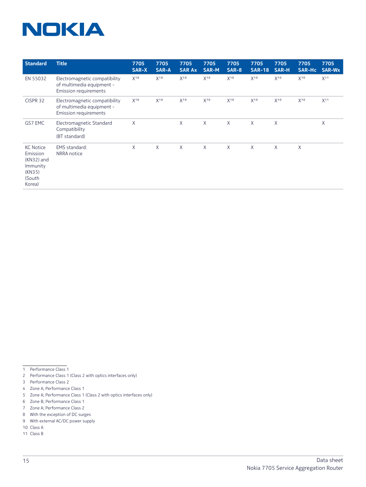| <b>Standard</b>                                                                      | <b>Title</b>                                                                        | 7705<br>SAR-X | 7705<br>SAR-A | 7705<br><b>SAR Ax</b> | 7705<br><b>SAR-M</b> | 7705<br><b>SAR-8</b> | 7705<br><b>SAR-18</b> | 7705<br>SAR-H | 7705<br><b>SAR-Hc</b> | 7705<br><b>SAR-Wx</b> |
|--------------------------------------------------------------------------------------|-------------------------------------------------------------------------------------|---------------|---------------|-----------------------|----------------------|----------------------|-----------------------|---------------|-----------------------|-----------------------|
| EN 55032                                                                             | Electromagnetic compatibility<br>of multimedia equipment -<br>Emission requirements | $X^{10}$      | $X^{10}$      | $X^{10}$              | $X^{10}$             | $X^{10}$             | $X^{10}$              | $X^{10}$      | $X^{10}$              | X <sup>11</sup>       |
| CISPR 32                                                                             | Electromagnetic compatibility<br>of multimedia equipment -<br>Emission requirements | $X^{10}$      | $X^{10}$      | $X^{10}$              | $X^{10}$             | $X^{10}$             | $X^{10}$              | $X^{10}$      | $X^{10}$              | X <sup>11</sup>       |
| GS7 EMC                                                                              | Electromagnetic Standard<br>Compatibility<br>(BT standard)                          | Χ             |               | X                     | Χ                    | X                    | X                     | X             |                       | Χ                     |
| <b>KC Notice</b><br>Emission<br>(KN32) and<br>Immunity<br>(KN35)<br>(South<br>Korea) | EMS standard:<br>NRRA notice                                                        | $\chi$        | X             | X                     | X                    | X                    | X                     | X.            | X                     |                       |

1 Performance Class 1

2 Performance Class 1 (Class 2 with optics interfaces only)

3 Performance Class 2

- 5 Zone A; Performance Class 1 (Class 2 with optics interfaces only)
- 6 Zone B; Performance Class 1
- 7 Zone A; Performance Class 2
- 8 With the exception of DC surges
- 9 With external AC/DC power supply
- 10 Class A
- 11 Class B

<sup>4</sup> Zone A; Performance Class 1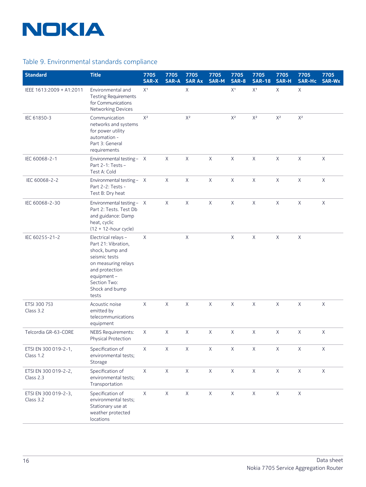

## Table 9. Environmental standards compliance

| <b>Standard</b>                   | <b>Title</b>                                                                                                                                                                      | 7705<br>SAR-X  | 7705<br><b>SAR-A</b> | 7705<br><b>SAR Ax</b> | 7705<br>SAR-M | 7705<br><b>SAR-8</b>                          | 7705<br><b>SAR-18</b>     | 7705<br><b>SAR-H</b> | 7705<br><b>SAR-Hc</b> | 7705<br><b>SAR-Wx</b> |
|-----------------------------------|-----------------------------------------------------------------------------------------------------------------------------------------------------------------------------------|----------------|----------------------|-----------------------|---------------|-----------------------------------------------|---------------------------|----------------------|-----------------------|-----------------------|
| IEEE 1613:2009 + A1:2011          | Environmental and<br><b>Testing Requirements</b><br>for Communications<br>Networking Devices                                                                                      | X <sup>1</sup> |                      | $\mathsf{X}$          |               | $\mathsf{X}^{\scriptscriptstyle{\mathrm{1}}}$ | $\mathsf{X}^{\texttt{1}}$ | $\mathsf X$          | $\mathsf X$           |                       |
| IEC 61850-3                       | Communication<br>networks and systems<br>for power utility<br>automation -<br>Part 3: General<br>requirements                                                                     | $X^2$          |                      | $X^2$                 |               | $X^2$                                         | $X^2$                     | $X^2$                | $X^2$                 |                       |
| IEC 60068-2-1                     | Environmental testing - X<br>Part 2-1: Tests-<br>Test A: Cold                                                                                                                     |                | $\chi$               | $\mathsf X$           | $\sf X$       | $\mathsf{X}$                                  | $\sf X$                   | $\mathsf X$          | $\mathsf X$           | $\times$              |
| IEC 60068-2-2                     | Environmental testing - X<br>Part 2-2: Tests -<br>Test B: Dry heat                                                                                                                |                | $\mathsf{X}$         | $\mathsf X$           | $\mathsf X$   | $\mathsf X$                                   | $\mathsf X$               | $\mathsf X$          | X                     | X                     |
| IEC 60068-2-30                    | Environmental testing - X<br>Part 2: Tests. Test Db<br>and guidance: Damp<br>heat, cyclic<br>$(12 + 12$ -hour cycle)                                                              |                | $\chi$               | $\times$              | $\sf X$       | $\mathsf{X}$                                  | $\sf X$                   | $\mathsf X$          | X                     | $\sf X$               |
| IEC 60255-21-2                    | Electrical relays -<br>Part 21: Vibration,<br>shock, bump and<br>seismic tests<br>on measuring relays<br>and protection<br>equipment -<br>Section Two:<br>Shock and bump<br>tests | X              |                      | $\mathsf X$           |               | $\mathsf X$                                   | $\mathsf X$               | X                    | $\mathsf X$           |                       |
| ETSI 300 753<br>Class 3.2         | Acoustic noise<br>emitted by<br>telecommunications<br>equipment                                                                                                                   | $\sf X$        | $\times$             | $\mathsf X$           | $\sf X$       | $\mathsf{X}$                                  | $\sf X$                   | $\mathsf X$          | $\mathsf X$           | $\times$              |
| Telcordia GR-63-CORE              | <b>NEBS Requirements:</b><br>Physical Protection                                                                                                                                  | X              | $\times$             | $\times$              | $\sf X$       | X                                             | $\mathsf X$               | $\times$             | X                     | X                     |
| ETSI EN 300 019-2-1,<br>Class 1.2 | Specification of<br>environmental tests;<br>Storage                                                                                                                               | $\mathsf X$    | $\mathsf X$          | $\mathsf X$           | $\mathsf X$   | $\mathsf X$                                   | $\mathsf X$               | $\mathsf X$          | $\mathsf X$           | $\mathsf X$           |
| ETSI EN 300 019-2-2,<br>Class 2.3 | Specification of<br>environmental tests;<br>Transportation                                                                                                                        | $\mathsf X$    | $\mathsf X$          | $\mathsf X$           | $\mathsf X$   | $\mathsf X$                                   | $\mathsf X$               | $\mathsf X$          | $\mathsf X$           | $\mathsf X$           |
| ETSI EN 300 019-2-3,<br>Class 3.2 | Specification of<br>environmental tests;<br>Stationary use at<br>weather protected<br>locations                                                                                   | $\mathsf X$    | $\mathsf X$          | $\mathsf X$           | $\mathsf X$   | $\mathsf X$                                   | $\mathsf X$               | $\mathsf X$          | $\mathsf X$           |                       |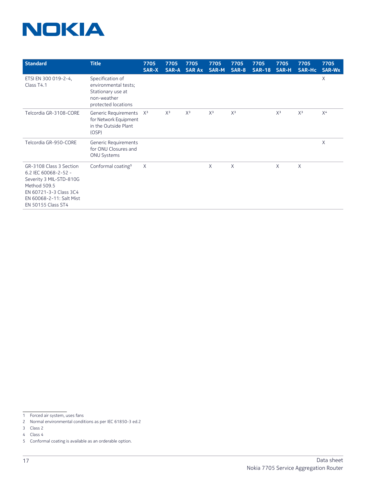| <b>Standard</b>                                                                                                                                                        | <b>Title</b>                                                                                        | 7705<br>SAR-X | 7705<br>SAR-A | 7705<br><b>SAR Ax</b> | 7705<br>SAR-M | 7705<br>SAR-8 | 7705<br><b>SAR-18</b> | 7705<br>SAR-H | 7705<br><b>SAR-Hc</b> | 7705<br>SAR-Wx |
|------------------------------------------------------------------------------------------------------------------------------------------------------------------------|-----------------------------------------------------------------------------------------------------|---------------|---------------|-----------------------|---------------|---------------|-----------------------|---------------|-----------------------|----------------|
| ETSI EN 300 019-2-4,<br>Class T4.1                                                                                                                                     | Specification of<br>environmental tests;<br>Stationary use at<br>non-weather<br>protected locations |               |               |                       |               |               |                       |               |                       | X              |
| Telcordia GR-3108-CORE                                                                                                                                                 | Generic Requirements<br>for Network Equipment<br>in the Outside Plant<br>(OSP)                      | $X^3$         | $X^3$         | $X^3$                 | $X^3$         | $X^3$         |                       | $X^3$         | $X^3$                 | X <sup>4</sup> |
| Telcordia GR-950-CORE                                                                                                                                                  | Generic Requirements<br>for ONU Closures and<br><b>ONU Systems</b>                                  |               |               |                       |               |               |                       |               |                       | X              |
| GR-3108 Class 3 Section<br>6.2 IEC 60068-2-52 -<br>Severity 3 MIL-STD-810G<br>Method 509.5<br>EN 60721-3-3 Class 3C4<br>EN 60068-2-11: Salt Mist<br>EN 50155 Class ST4 | Conformal coating <sup>5</sup>                                                                      | X             |               |                       | X             | $\chi$        |                       | $\chi$        | X                     |                |

<sup>1</sup> Forced air system, uses fans

<sup>2</sup> Normal environmental conditions as per IEC 61850-3 ed.2

<sup>3</sup> Class 2

<sup>4</sup> Class 4

<sup>5</sup> Conformal coating is available as an orderable option.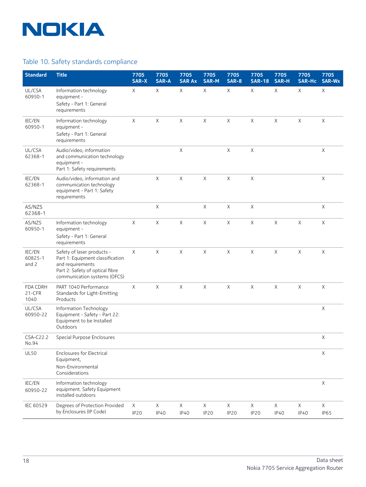

## Table 10. Safety standards compliance

| <b>Standard</b>            | <b>Title</b>                                                                                                                                          | 7705<br><b>SAR-X</b>  | 7705<br><b>SAR-A</b>       | 7705<br><b>SAR Ax</b>     | 7705<br><b>SAR-M</b>            | 7705<br><b>SAR-8</b>  | 7705<br><b>SAR-18</b> | 7705<br><b>SAR-H</b>        | 7705<br><b>SAR-Hc</b> | 7705<br><b>SAR-Wx</b> |
|----------------------------|-------------------------------------------------------------------------------------------------------------------------------------------------------|-----------------------|----------------------------|---------------------------|---------------------------------|-----------------------|-----------------------|-----------------------------|-----------------------|-----------------------|
| UL/CSA<br>60950-1          | Information technology<br>equipment -<br>Safety - Part 1: General<br>requirements                                                                     | Χ                     | Χ                          | X                         | X                               | X                     | X                     | X                           | Χ                     | X                     |
| IEC/EN<br>60950-1          | Information technology<br>equipment -<br>Safety - Part 1: General<br>requirements                                                                     | $\mathsf X$           | X                          | $\boldsymbol{\mathsf{X}}$ | $\mathsf X$                     | $\mathsf X$           | X                     | X                           | X                     | X                     |
| UL/CSA<br>62368-1          | Audio/video, information<br>and communication technology<br>equipment -<br>Part 1: Safety requirements                                                |                       |                            | $\mathsf X$               |                                 | $\mathsf X$           | $\mathsf X$           |                             |                       | $\mathsf X$           |
| IEC/EN<br>62368-1          | Audio/video, information and<br>communication technology<br>equipment - Part 1: Safety<br>requirements                                                |                       | $\mathsf X$                | $\mathsf X$               | X                               | X                     | X                     |                             |                       | X                     |
| AS/NZS<br>62368-1          |                                                                                                                                                       |                       | X                          |                           | X                               | X                     | X                     |                             |                       | $\mathsf X$           |
| AS/NZS<br>60950-1          | Information technology<br>equipment -<br>Safety - Part 1: General<br>requirements                                                                     | X                     | $\mathsf X$                | $\mathsf X$               | $\mathsf X$                     | X                     | X                     | $\mathsf X$                 | Χ                     | X                     |
| IEC/EN<br>60825-1<br>and 2 | Safety of laser products -<br>Part 1: Equipment classification<br>and requirements<br>Part 2: Safety of optical fibre<br>communication systems (OFCS) | X                     | X                          | $\boldsymbol{\mathsf{X}}$ | X                               | X                     | X                     | X                           | X                     | X                     |
| FDA CDRH<br>21-CFR<br>1040 | PART 1040 Performance<br>Standards for Light-Emitting<br>Products                                                                                     | Χ                     | X                          | X                         | X                               | X                     | Χ                     | Χ                           | Χ                     | X                     |
| UL/CSA<br>60950-22         | Information Technology<br>Equipment - Safety - Part 22:<br>Equipment to be Installed<br>Outdoors                                                      |                       |                            |                           |                                 |                       |                       |                             |                       | X                     |
| CSA-C22.2<br>No.94         | Special Purpose Enclosures                                                                                                                            |                       |                            |                           |                                 |                       |                       |                             |                       | X                     |
| <b>UL50</b>                | <b>Enclosures for Electrical</b><br>Equipment,<br>Non-Environmental<br>Considerations                                                                 |                       |                            |                           |                                 |                       |                       |                             |                       | $\mathsf X$           |
| IEC/EN<br>60950-22         | Information technology<br>equipment. Safety Equipment<br>installed outdoors                                                                           |                       |                            |                           |                                 |                       |                       |                             |                       | X                     |
| IEC 60529                  | Degrees of Protection Provided<br>by Enclosures (IP Code)                                                                                             | X<br>IP <sub>20</sub> | $\mathsf X$<br><b>IP40</b> | X<br><b>IP40</b>          | $\mathsf X$<br>IP <sub>20</sub> | X<br>IP <sub>20</sub> | $\mathsf X$<br>IP20   | $\mathsf{X}$<br><b>IP40</b> | $\mathsf X$<br>IP40   | $\mathsf X$<br>IP65   |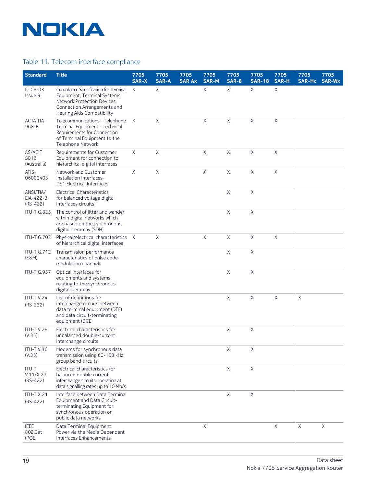

#### Table 11. Telecom interface compliance

| <b>Standard</b>                      | <b>Title</b>                                                                                                                                                      | 7705<br><b>SAR-X</b> | 7705<br><b>SAR-A</b> | 7705<br><b>SAR Ax</b> | 7705<br><b>SAR-M</b> | 7705<br><b>SAR-8</b> | 7705<br><b>SAR-18</b> | 7705<br><b>SAR-H</b> | 7705<br><b>SAR-Hc</b> | 7705<br><b>SAR-Wx</b> |
|--------------------------------------|-------------------------------------------------------------------------------------------------------------------------------------------------------------------|----------------------|----------------------|-----------------------|----------------------|----------------------|-----------------------|----------------------|-----------------------|-----------------------|
| IC CS-03<br>Issue 9                  | Compliance Specification for Terminal<br>Equipment, Terminal Systems,<br>Network Protection Devices,<br>Connection Arrangements and<br>Hearing Aids Compatibility | $\mathsf{X}$         | X                    |                       | X                    | X                    | X                     | $\sf X$              |                       |                       |
| <b>ACTA TIA-</b><br>968-B            | Telecommunications - Telephone<br>Terminal Equipment - Technical<br>Requirements for Connection<br>of Terminal Equipment to the<br>Telephone Network              | $\mathsf{X}$         | X                    |                       | X                    | X                    | X                     | X                    |                       |                       |
| AS/ACIF<br>S016<br>(Australia)       | Requirements for Customer<br>Equipment for connection to<br>hierarchical digital interfaces                                                                       | $\times$             | X                    |                       | X                    | X                    | X                     | X                    |                       |                       |
| ATIS-<br>06000403                    | Network and Customer<br>Installation Interfaces-<br><b>DS1 Electrical Interfaces</b>                                                                              | $\sf X$              | $\mathsf X$          |                       | X                    | $\mathsf X$          | X                     | $\mathsf X$          |                       |                       |
| ANSI/TIA/<br>EIA-422-B<br>$(RS-422)$ | Electrical Characteristics<br>for balanced voltage digital<br>interfaces circuits                                                                                 |                      |                      |                       |                      | X                    | X                     |                      |                       |                       |
| <b>ITU-T G.825</b>                   | The control of jitter and wander<br>within digital networks which<br>are based on the synchronous<br>digital hierarchy (SDH)                                      |                      |                      |                       |                      | X                    | X                     |                      |                       |                       |
| <b>ITU-T G.703</b>                   | Physical/electrical characteristics X<br>of hierarchical digital interfaces                                                                                       |                      | $\mathsf{X}$         |                       | X                    | $\mathsf X$          | X                     | $\mathsf X$          |                       |                       |
| <b>ITU-T G.712</b><br>(E&M)          | Transmission performance<br>characteristics of pulse code<br>modulation channels                                                                                  |                      |                      |                       |                      | X                    | X                     |                      |                       |                       |
| <b>ITU-T G.957</b>                   | Optical interfaces for<br>equipments and systems<br>relating to the synchronous<br>digital hierarchy                                                              |                      |                      |                       |                      | X                    | X                     |                      |                       |                       |
| ITU-TV.24<br>$(RS-232)$              | List of definitions for<br>interchange circuits between<br>data terminal equipment (DTE)<br>and data circuit-terminating<br>equipment (DCE)                       |                      |                      |                       |                      | X                    | X                     | $\mathsf{X}$         | X                     |                       |
| <b>ITU-T V.28</b><br>(V.35)          | Electrical characteristics for<br>unbalanced double-current<br>interchange circuits                                                                               |                      |                      |                       |                      | X                    | $\mathsf X$           |                      |                       |                       |
| ITU-TV.36<br>(V.35)                  | Modems for synchronous data<br>transmission using 60-108 kHz<br>group band circuits                                                                               |                      |                      |                       |                      | X                    | X                     |                      |                       |                       |
| ITU-T<br>V.11/X.27<br>$(RS-422)$     | Electrical characteristics for<br>balanced double current<br>interchange circuits operating at<br>data signalling rates up to 10 Mb/s                             |                      |                      |                       |                      | X                    | X                     |                      |                       |                       |
| <b>ITU-T X.21</b><br>$(RS-422)$      | Interface between Data Terminal<br>Equipment and Data Circuit-<br>terminating Equipment for<br>synchronous operation on<br>public data networks                   |                      |                      |                       |                      | X                    | X                     |                      |                       |                       |
| <b>IEEE</b><br>802.3at<br>(POE)      | Data Terminal Equipment<br>Power via the Media Dependent<br>Interfaces Enhancements                                                                               |                      |                      |                       | X                    |                      |                       | X                    | $\mathsf X$           | X                     |